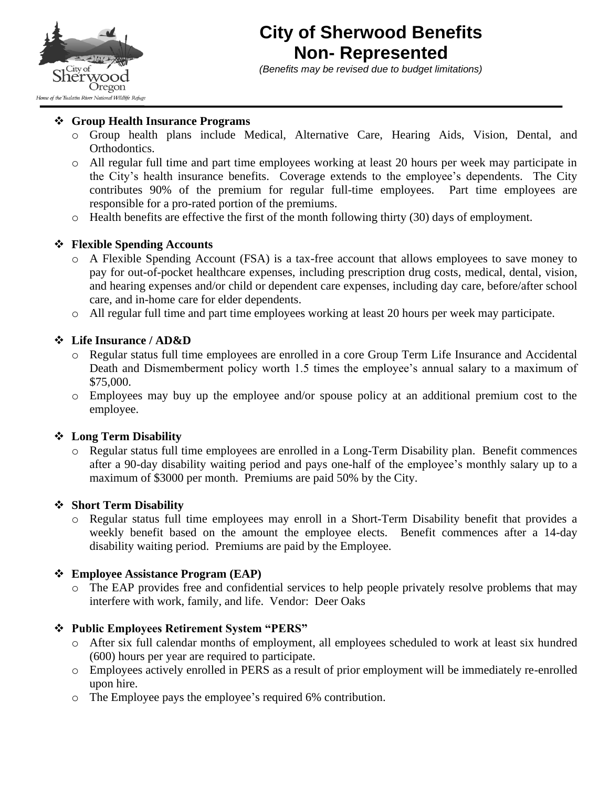

# **City of Sherwood Benefits Non- Represented**

*(Benefits may be revised due to budget limitations)* 

#### ❖ **Group Health Insurance Programs**

- o Group health plans include Medical, Alternative Care, Hearing Aids, Vision, Dental, and Orthodontics.
- o All regular full time and part time employees working at least 20 hours per week may participate in the City's health insurance benefits. Coverage extends to the employee's dependents. The City contributes 90% of the premium for regular full-time employees. Part time employees are responsible for a pro-rated portion of the premiums.
- o Health benefits are effective the first of the month following thirty (30) days of employment.

## ❖ **Flexible Spending Accounts**

- o A Flexible Spending Account (FSA) is a tax-free account that allows employees to save money to pay for out-of-pocket healthcare expenses, including prescription drug costs, medical, dental, vision, and hearing expenses and/or child or dependent care expenses, including day care, before/after school care, and in-home care for elder dependents.
- o All regular full time and part time employees working at least 20 hours per week may participate.

#### ❖ **Life Insurance / AD&D**

- o Regular status full time employees are enrolled in a core Group Term Life Insurance and Accidental Death and Dismemberment policy worth 1.5 times the employee's annual salary to a maximum of \$75,000.
- o Employees may buy up the employee and/or spouse policy at an additional premium cost to the employee.

#### ❖ **Long Term Disability**

o Regular status full time employees are enrolled in a Long-Term Disability plan. Benefit commences after a 90-day disability waiting period and pays one-half of the employee's monthly salary up to a maximum of \$3000 per month. Premiums are paid 50% by the City.

#### ❖ **Short Term Disability**

o Regular status full time employees may enroll in a Short-Term Disability benefit that provides a weekly benefit based on the amount the employee elects. Benefit commences after a 14-day disability waiting period. Premiums are paid by the Employee.

## ❖ **Employee Assistance Program (EAP)**

o The EAP provides free and confidential services to help people privately resolve problems that may interfere with work, family, and life. Vendor: Deer Oaks

#### ❖ **Public Employees Retirement System "PERS"**

- o After six full calendar months of employment, all employees scheduled to work at least six hundred (600) hours per year are required to participate.
- o Employees actively enrolled in PERS as a result of prior employment will be immediately re-enrolled upon hire.
- o The Employee pays the employee's required 6% contribution.